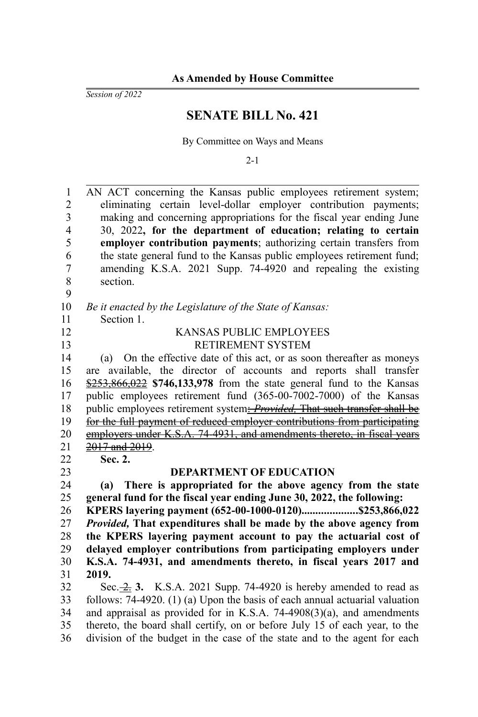*Session of 2022*

## **SENATE BILL No. 421**

By Committee on Ways and Means

2-1

| 1              | AN ACT concerning the Kansas public employees retirement system;                    |
|----------------|-------------------------------------------------------------------------------------|
| $\overline{2}$ | eliminating certain level-dollar employer contribution payments;                    |
| $\mathfrak{Z}$ | making and concerning appropriations for the fiscal year ending June                |
| $\overline{4}$ | 30, 2022, for the department of education; relating to certain                      |
| 5              | employer contribution payments; authorizing certain transfers from                  |
| 6              | the state general fund to the Kansas public employees retirement fund;              |
| $\overline{7}$ | amending K.S.A. 2021 Supp. 74-4920 and repealing the existing                       |
| $\,$ 8 $\,$    | section.                                                                            |
| 9              |                                                                                     |
| 10             | Be it enacted by the Legislature of the State of Kansas:                            |
| 11             | Section 1.                                                                          |
| 12             | KANSAS PUBLIC EMPLOYEES                                                             |
| 13             | RETIREMENT SYSTEM                                                                   |
| 14             | On the effective date of this act, or as soon thereafter as moneys<br>(a)           |
| 15             | are available, the director of accounts and reports shall transfer                  |
| 16             | $\frac{$253,866,022}{1000}$ \$746,133,978 from the state general fund to the Kansas |
| 17             | public employees retirement fund (365-00-7002-7000) of the Kansas                   |
| 18             | public employees retirement system: <i>Provided</i> , That such transfer shall be   |
| 19             | for the full payment of reduced employer contributions from participating           |
| 20             | employers under K.S.A. 74-4931, and amendments thereto, in fiscal years             |
| 21             | 2017 and 2019.                                                                      |
| 22             | Sec. 2.                                                                             |
| 23             | <b>DEPARTMENT OF EDUCATION</b>                                                      |
| 24             | There is appropriated for the above agency from the state<br>(a)                    |
| 25             | general fund for the fiscal year ending June 30, 2022, the following:               |
| 26             | KPERS layering payment (652-00-1000-0120)\$253,866,022                              |
| 27             | Provided, That expenditures shall be made by the above agency from                  |
| 28             | the KPERS layering payment account to pay the actuarial cost of                     |
| 29             | delayed employer contributions from participating employers under                   |
| 30             | K.S.A. 74-4931, and amendments thereto, in fiscal years 2017 and                    |
| 31             | 2019.                                                                               |
| 32             | Sec. $\frac{2}{2}$ , 3. K.S.A. 2021 Supp. 74-4920 is hereby amended to read as      |
| 33             | follows: $74-4920$ . (1) (a) Upon the basis of each annual actuarial valuation      |
| 34             | and appraisal as provided for in K.S.A. $74-4908(3)(a)$ , and amendments            |
| 35             | thereto, the board shall certify, on or before July 15 of each year, to the         |

division of the budget in the case of the state and to the agent for each 36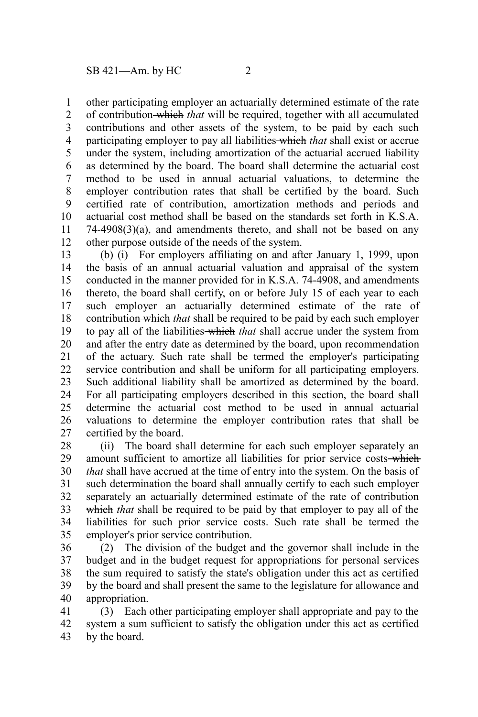other participating employer an actuarially determined estimate of the rate of contribution which *that* will be required, together with all accumulated contributions and other assets of the system, to be paid by each such participating employer to pay all liabilities which *that* shall exist or accrue under the system, including amortization of the actuarial accrued liability as determined by the board. The board shall determine the actuarial cost method to be used in annual actuarial valuations, to determine the employer contribution rates that shall be certified by the board. Such certified rate of contribution, amortization methods and periods and actuarial cost method shall be based on the standards set forth in K.S.A.  $74-4908(3)(a)$ , and amendments thereto, and shall not be based on any other purpose outside of the needs of the system. 1 2 3 4 5 6 7 8 9 10 11 12

(b) (i) For employers affiliating on and after January 1, 1999, upon the basis of an annual actuarial valuation and appraisal of the system conducted in the manner provided for in K.S.A. 74-4908, and amendments thereto, the board shall certify, on or before July 15 of each year to each such employer an actuarially determined estimate of the rate of contribution which *that* shall be required to be paid by each such employer to pay all of the liabilities which *that* shall accrue under the system from and after the entry date as determined by the board, upon recommendation of the actuary. Such rate shall be termed the employer's participating service contribution and shall be uniform for all participating employers. Such additional liability shall be amortized as determined by the board. For all participating employers described in this section, the board shall determine the actuarial cost method to be used in annual actuarial valuations to determine the employer contribution rates that shall be certified by the board. 13 14 15 16 17 18 19 20 21 22 23 24 25 26 27

(ii) The board shall determine for each such employer separately an amount sufficient to amortize all liabilities for prior service costs-which *that* shall have accrued at the time of entry into the system. On the basis of such determination the board shall annually certify to each such employer separately an actuarially determined estimate of the rate of contribution which *that* shall be required to be paid by that employer to pay all of the liabilities for such prior service costs. Such rate shall be termed the employer's prior service contribution. 28 29 30 31 32 33 34 35

(2) The division of the budget and the governor shall include in the budget and in the budget request for appropriations for personal services the sum required to satisfy the state's obligation under this act as certified by the board and shall present the same to the legislature for allowance and appropriation. 36 37 38 39 40

(3) Each other participating employer shall appropriate and pay to the system a sum sufficient to satisfy the obligation under this act as certified by the board. 41 42 43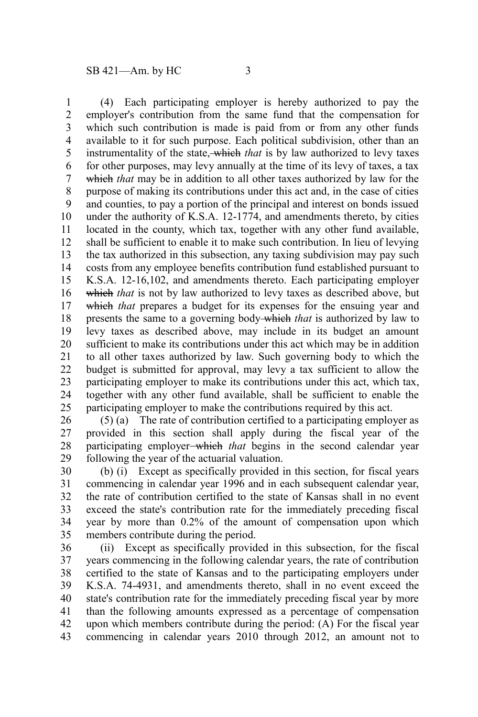(4) Each participating employer is hereby authorized to pay the employer's contribution from the same fund that the compensation for which such contribution is made is paid from or from any other funds available to it for such purpose. Each political subdivision, other than an instrumentality of the state, which *that* is by law authorized to levy taxes for other purposes, may levy annually at the time of its levy of taxes, a tax which *that* may be in addition to all other taxes authorized by law for the purpose of making its contributions under this act and, in the case of cities and counties, to pay a portion of the principal and interest on bonds issued under the authority of K.S.A. 12-1774, and amendments thereto, by cities located in the county, which tax, together with any other fund available, shall be sufficient to enable it to make such contribution. In lieu of levying the tax authorized in this subsection, any taxing subdivision may pay such costs from any employee benefits contribution fund established pursuant to K.S.A. 12-16,102, and amendments thereto. Each participating employer which *that* is not by law authorized to levy taxes as described above, but which *that* prepares a budget for its expenses for the ensuing year and presents the same to a governing body which *that* is authorized by law to levy taxes as described above, may include in its budget an amount sufficient to make its contributions under this act which may be in addition to all other taxes authorized by law. Such governing body to which the budget is submitted for approval, may levy a tax sufficient to allow the participating employer to make its contributions under this act, which tax, together with any other fund available, shall be sufficient to enable the participating employer to make the contributions required by this act. 1 2 3 4 5 6 7 8 9 10 11 12 13 14 15 16 17 18 19 20 21 22 23 24 25

(5) (a) The rate of contribution certified to a participating employer as provided in this section shall apply during the fiscal year of the participating employer which *that* begins in the second calendar year following the year of the actuarial valuation. 26 27 28 29

(b) (i) Except as specifically provided in this section, for fiscal years commencing in calendar year 1996 and in each subsequent calendar year, the rate of contribution certified to the state of Kansas shall in no event exceed the state's contribution rate for the immediately preceding fiscal year by more than 0.2% of the amount of compensation upon which members contribute during the period. 30 31 32 33 34 35

(ii) Except as specifically provided in this subsection, for the fiscal years commencing in the following calendar years, the rate of contribution certified to the state of Kansas and to the participating employers under K.S.A. 74-4931, and amendments thereto, shall in no event exceed the state's contribution rate for the immediately preceding fiscal year by more than the following amounts expressed as a percentage of compensation upon which members contribute during the period: (A) For the fiscal year commencing in calendar years 2010 through 2012, an amount not to 36 37 38 39 40 41 42 43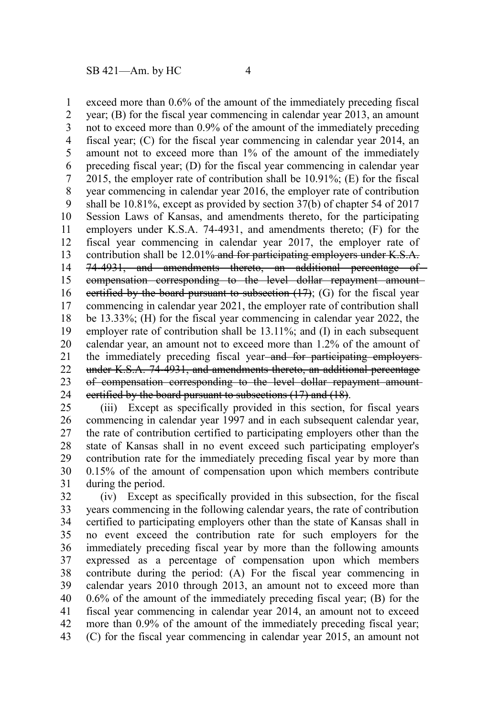exceed more than 0.6% of the amount of the immediately preceding fiscal year; (B) for the fiscal year commencing in calendar year 2013, an amount not to exceed more than 0.9% of the amount of the immediately preceding fiscal year; (C) for the fiscal year commencing in calendar year 2014, an amount not to exceed more than 1% of the amount of the immediately preceding fiscal year; (D) for the fiscal year commencing in calendar year 2015, the employer rate of contribution shall be 10.91%; (E) for the fiscal year commencing in calendar year 2016, the employer rate of contribution shall be 10.81%, except as provided by section 37(b) of chapter 54 of 2017 Session Laws of Kansas, and amendments thereto, for the participating employers under K.S.A. 74-4931, and amendments thereto; (F) for the fiscal year commencing in calendar year 2017, the employer rate of contribution shall be 12.01% and for participating employers under K.S.A. 74-4931, and amendments thereto, an additional percentage of compensation corresponding to the level dollar repayment amount certified by the board pursuant to subsection  $(17)$ ; (G) for the fiscal year commencing in calendar year 2021, the employer rate of contribution shall be 13.33%; (H) for the fiscal year commencing in calendar year 2022, the employer rate of contribution shall be 13.11%; and (I) in each subsequent calendar year, an amount not to exceed more than 1.2% of the amount of the immediately preceding fiscal year-and for participating employersunder K.S.A. 74-4931, and amendments thereto, an additional percentage of compensation corresponding to the level dollar repayment amount certified by the board pursuant to subsections (17) and (18). 1 2 3 4 5 6 7 8 9 10 11 12 13 14 15 16 17 18 19 20 21 22 23 24

(iii) Except as specifically provided in this section, for fiscal years commencing in calendar year 1997 and in each subsequent calendar year, the rate of contribution certified to participating employers other than the state of Kansas shall in no event exceed such participating employer's contribution rate for the immediately preceding fiscal year by more than 0.15% of the amount of compensation upon which members contribute during the period. 25 26 27 28 29 30 31

(iv) Except as specifically provided in this subsection, for the fiscal years commencing in the following calendar years, the rate of contribution certified to participating employers other than the state of Kansas shall in no event exceed the contribution rate for such employers for the immediately preceding fiscal year by more than the following amounts expressed as a percentage of compensation upon which members contribute during the period: (A) For the fiscal year commencing in calendar years 2010 through 2013, an amount not to exceed more than 0.6% of the amount of the immediately preceding fiscal year; (B) for the fiscal year commencing in calendar year 2014, an amount not to exceed more than 0.9% of the amount of the immediately preceding fiscal year; (C) for the fiscal year commencing in calendar year 2015, an amount not 32 33 34 35 36 37 38 39 40 41 42 43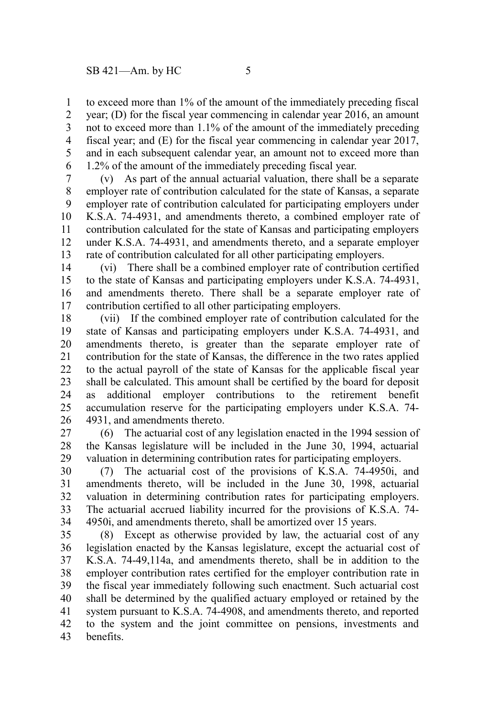to exceed more than 1% of the amount of the immediately preceding fiscal 1

year; (D) for the fiscal year commencing in calendar year 2016, an amount not to exceed more than 1.1% of the amount of the immediately preceding fiscal year; and (E) for the fiscal year commencing in calendar year 2017, and in each subsequent calendar year, an amount not to exceed more than 1.2% of the amount of the immediately preceding fiscal year. 2 3 4 5 6

(v) As part of the annual actuarial valuation, there shall be a separate employer rate of contribution calculated for the state of Kansas, a separate employer rate of contribution calculated for participating employers under K.S.A. 74-4931, and amendments thereto, a combined employer rate of contribution calculated for the state of Kansas and participating employers under K.S.A. 74-4931, and amendments thereto, and a separate employer rate of contribution calculated for all other participating employers. 7 8 9 10 11 12 13

(vi) There shall be a combined employer rate of contribution certified to the state of Kansas and participating employers under K.S.A. 74-4931, and amendments thereto. There shall be a separate employer rate of contribution certified to all other participating employers. 14 15 16 17

(vii) If the combined employer rate of contribution calculated for the state of Kansas and participating employers under K.S.A. 74-4931, and amendments thereto, is greater than the separate employer rate of contribution for the state of Kansas, the difference in the two rates applied to the actual payroll of the state of Kansas for the applicable fiscal year shall be calculated. This amount shall be certified by the board for deposit as additional employer contributions to the retirement benefit accumulation reserve for the participating employers under K.S.A. 74- 4931, and amendments thereto. 18 19 20 21 22 23 24 25 26

(6) The actuarial cost of any legislation enacted in the 1994 session of the Kansas legislature will be included in the June 30, 1994, actuarial valuation in determining contribution rates for participating employers. 27 28 29

(7) The actuarial cost of the provisions of K.S.A. 74-4950i, and amendments thereto, will be included in the June 30, 1998, actuarial valuation in determining contribution rates for participating employers. The actuarial accrued liability incurred for the provisions of K.S.A. 74- 4950i, and amendments thereto, shall be amortized over 15 years. 30 31 32 33 34

(8) Except as otherwise provided by law, the actuarial cost of any legislation enacted by the Kansas legislature, except the actuarial cost of K.S.A. 74-49,114a, and amendments thereto, shall be in addition to the employer contribution rates certified for the employer contribution rate in the fiscal year immediately following such enactment. Such actuarial cost shall be determined by the qualified actuary employed or retained by the system pursuant to K.S.A. 74-4908, and amendments thereto, and reported to the system and the joint committee on pensions, investments and benefits. 35 36 37 38 39 40 41 42 43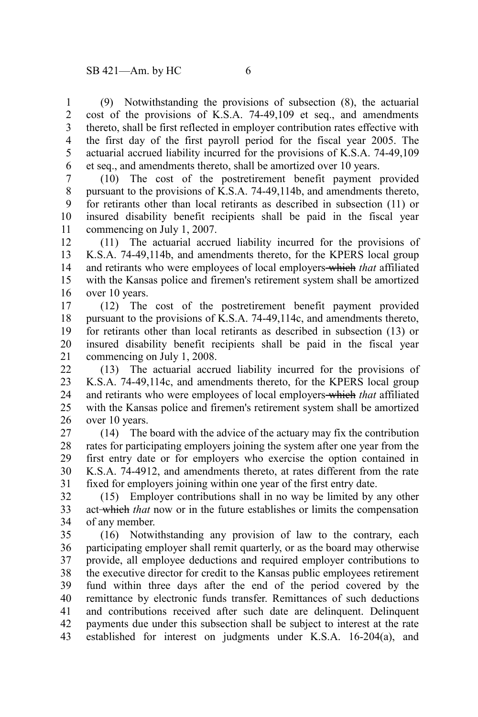(9) Notwithstanding the provisions of subsection (8), the actuarial cost of the provisions of K.S.A. 74-49,109 et seq., and amendments thereto, shall be first reflected in employer contribution rates effective with the first day of the first payroll period for the fiscal year 2005. The actuarial accrued liability incurred for the provisions of K.S.A. 74-49,109 et seq., and amendments thereto, shall be amortized over 10 years. 1 2 3 4 5 6

(10) The cost of the postretirement benefit payment provided pursuant to the provisions of K.S.A. 74-49,114b, and amendments thereto, for retirants other than local retirants as described in subsection (11) or insured disability benefit recipients shall be paid in the fiscal year commencing on July 1, 2007. 7 8 9 10 11

(11) The actuarial accrued liability incurred for the provisions of K.S.A. 74-49,114b, and amendments thereto, for the KPERS local group and retirants who were employees of local employers which *that* affiliated with the Kansas police and firemen's retirement system shall be amortized over 10 years. 12 13 14 15 16

(12) The cost of the postretirement benefit payment provided pursuant to the provisions of K.S.A. 74-49,114c, and amendments thereto, for retirants other than local retirants as described in subsection (13) or insured disability benefit recipients shall be paid in the fiscal year commencing on July 1, 2008. 17 18 19 20 21

(13) The actuarial accrued liability incurred for the provisions of K.S.A. 74-49,114c, and amendments thereto, for the KPERS local group and retirants who were employees of local employers which *that* affiliated with the Kansas police and firemen's retirement system shall be amortized over 10 years. 22 23 24 25 26

(14) The board with the advice of the actuary may fix the contribution rates for participating employers joining the system after one year from the first entry date or for employers who exercise the option contained in K.S.A. 74-4912, and amendments thereto, at rates different from the rate fixed for employers joining within one year of the first entry date. 27 28 29 30 31

(15) Employer contributions shall in no way be limited by any other act which *that* now or in the future establishes or limits the compensation of any member. 32 33 34

(16) Notwithstanding any provision of law to the contrary, each participating employer shall remit quarterly, or as the board may otherwise provide, all employee deductions and required employer contributions to the executive director for credit to the Kansas public employees retirement fund within three days after the end of the period covered by the remittance by electronic funds transfer. Remittances of such deductions and contributions received after such date are delinquent. Delinquent payments due under this subsection shall be subject to interest at the rate established for interest on judgments under K.S.A. 16-204(a), and 35 36 37 38 39 40 41 42 43